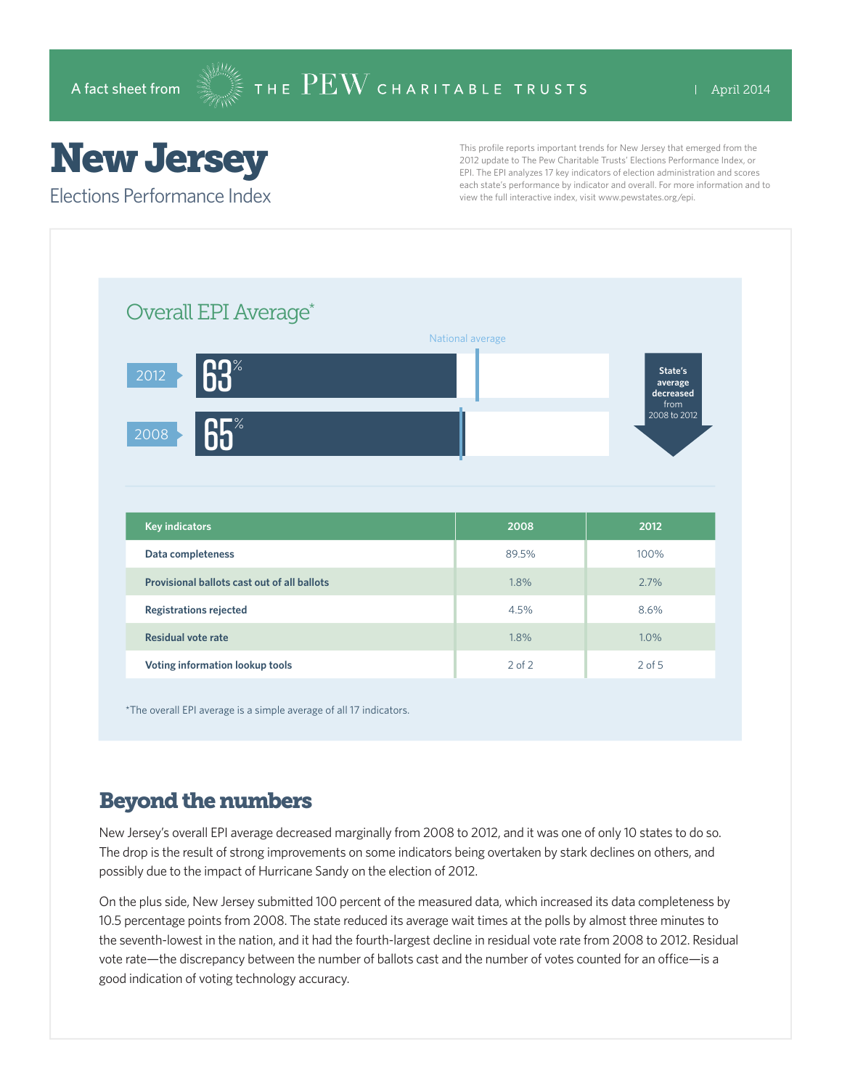# New Jersey

Elections Performance Index

This profile reports important trends for New Jersey that emerged from the 2012 update to The Pew Charitable Trusts' Elections Performance Index, or EPI. The EPI analyzes 17 key indicators of election administration and scores each state's performance by indicator and overall. For more information and to view the full interactive index, visit www.pewstates.org/epi.

| Overall EPI Average*                        |                  |                                         |
|---------------------------------------------|------------------|-----------------------------------------|
|                                             | National average |                                         |
| 63<br>2012                                  |                  | State's<br>average<br>decreased<br>from |
| 65%<br>2008                                 |                  | 2008 to 2012                            |
|                                             |                  |                                         |
| <b>Key indicators</b>                       | 2008             | 2012                                    |
| Data completeness                           | 89.5%            | 100%                                    |
| Provisional ballots cast out of all ballots | 1.8%             | 2.7%                                    |
| <b>Registrations rejected</b>               | 4.5%             | 8.6%                                    |
| <b>Residual vote rate</b>                   | 1.8%             | 1.0%                                    |

The overall EPI average is a simple average of all 17 indicators.

#### Beyond the numbers

New Jersey's overall EPI average decreased marginally from 2008 to 2012, and it was one of only 10 states to do so. The drop is the result of strong improvements on some indicators being overtaken by stark declines on others, and possibly due to the impact of Hurricane Sandy on the election of 2012.

On the plus side, New Jersey submitted 100 percent of the measured data, which increased its data completeness by 10.5 percentage points from 2008. The state reduced its average wait times at the polls by almost three minutes to the seventh-lowest in the nation, and it had the fourth-largest decline in residual vote rate from 2008 to 2012. Residual vote rate—the discrepancy between the number of ballots cast and the number of votes counted for an office—is a good indication of voting technology accuracy.